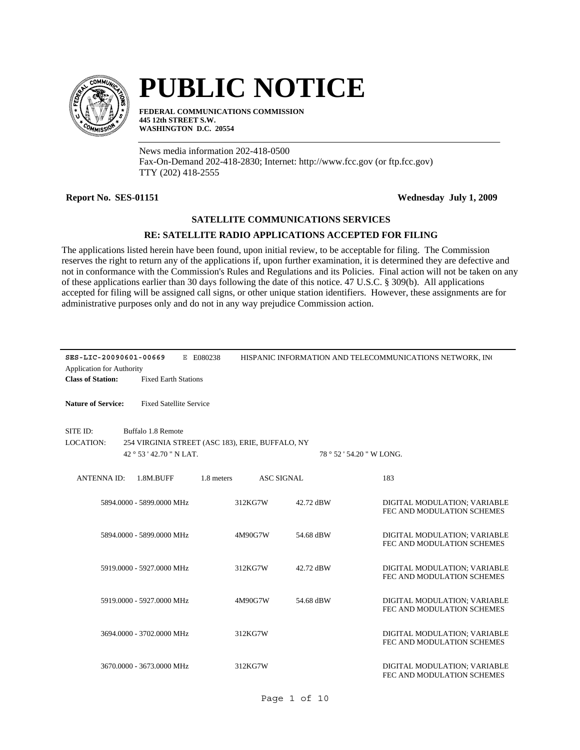

# **PUBLIC NOTICE**

**FEDERAL COMMUNICATIONS COMMISSION 445 12th STREET S.W. WASHINGTON D.C. 20554**

News media information 202-418-0500 Fax-On-Demand 202-418-2830; Internet: http://www.fcc.gov (or ftp.fcc.gov) TTY (202) 418-2555

**Report No. SES-01151 Wednesday July 1, 2009**

## **SATELLITE COMMUNICATIONS SERVICES**

## **RE: SATELLITE RADIO APPLICATIONS ACCEPTED FOR FILING**

The applications listed herein have been found, upon initial review, to be acceptable for filing. The Commission reserves the right to return any of the applications if, upon further examination, it is determined they are defective and not in conformance with the Commission's Rules and Regulations and its Policies. Final action will not be taken on any of these applications earlier than 30 days following the date of this notice. 47 U.S.C. § 309(b). All applications accepted for filing will be assigned call signs, or other unique station identifiers. However, these assignments are for administrative purposes only and do not in any way prejudice Commission action.

| SES-LIC-20090601-00669           |                                                  | E E080238  |                   |                           | HISPANIC INFORMATION AND TELECOMMUNICATIONS NETWORK, INC   |
|----------------------------------|--------------------------------------------------|------------|-------------------|---------------------------|------------------------------------------------------------|
| <b>Application for Authority</b> |                                                  |            |                   |                           |                                                            |
| <b>Class of Station:</b>         | <b>Fixed Earth Stations</b>                      |            |                   |                           |                                                            |
|                                  |                                                  |            |                   |                           |                                                            |
| <b>Nature of Service:</b>        | <b>Fixed Satellite Service</b>                   |            |                   |                           |                                                            |
|                                  |                                                  |            |                   |                           |                                                            |
| SITE ID:                         | Buffalo 1.8 Remote                               |            |                   |                           |                                                            |
| <b>LOCATION:</b>                 | 254 VIRGINIA STREET (ASC 183), ERIE, BUFFALO, NY |            |                   |                           |                                                            |
|                                  | 42 ° 53 ' 42.70 " N LAT.                         |            |                   | 78 ° 52 ' 54.20 " W LONG. |                                                            |
|                                  |                                                  |            |                   |                           |                                                            |
| <b>ANTENNAID:</b>                | 1.8M.BUFF                                        | 1.8 meters | <b>ASC SIGNAL</b> |                           | 183                                                        |
|                                  |                                                  |            |                   |                           |                                                            |
|                                  | 5894.0000 - 5899.0000 MHz                        |            | 312KG7W           | 42.72 dBW                 | DIGITAL MODULATION; VARIABLE                               |
|                                  |                                                  |            |                   |                           | FEC AND MODULATION SCHEMES                                 |
|                                  |                                                  |            |                   |                           |                                                            |
|                                  | 5894.0000 - 5899.0000 MHz                        |            | 4M90G7W           | 54.68 dBW                 | DIGITAL MODULATION; VARIABLE                               |
|                                  |                                                  |            |                   |                           | FEC AND MODULATION SCHEMES                                 |
|                                  |                                                  |            |                   |                           |                                                            |
|                                  | 5919.0000 - 5927.0000 MHz                        |            | 312KG7W           | 42.72 dBW                 | DIGITAL MODULATION; VARIABLE                               |
|                                  |                                                  |            |                   |                           | FEC AND MODULATION SCHEMES                                 |
|                                  |                                                  |            |                   |                           |                                                            |
|                                  | 5919,0000 - 5927,0000 MHz                        |            | 4M90G7W           | 54.68 dBW                 | DIGITAL MODULATION; VARIABLE<br>FEC AND MODULATION SCHEMES |
|                                  |                                                  |            |                   |                           |                                                            |
|                                  | 3694.0000 - 3702.0000 MHz                        |            | 312KG7W           |                           | DIGITAL MODULATION; VARIABLE                               |
|                                  |                                                  |            |                   |                           | FEC AND MODULATION SCHEMES                                 |
|                                  |                                                  |            |                   |                           |                                                            |
|                                  | 3670.0000 - 3673.0000 MHz                        |            | 312KG7W           |                           | DIGITAL MODULATION; VARIABLE                               |
|                                  |                                                  |            |                   |                           | FEC AND MODULATION SCHEMES                                 |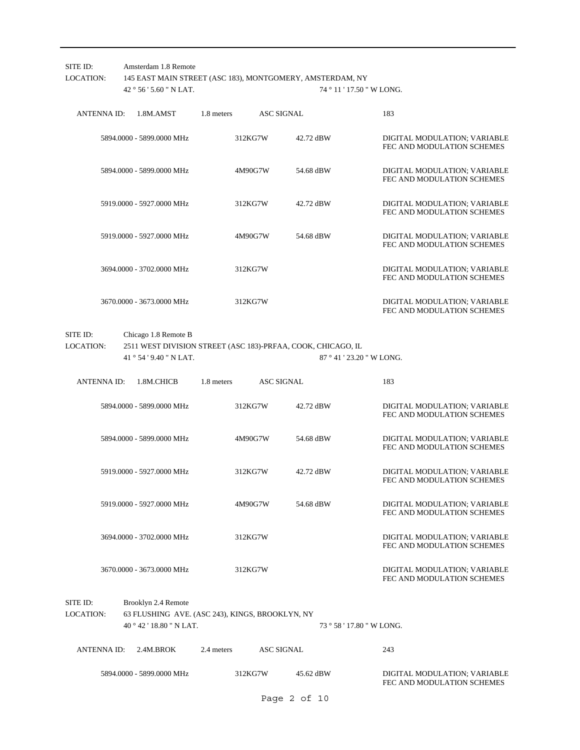| SITE ID:<br><b>LOCATION:</b> | Amsterdam 1.8 Remote<br>42 ° 56 ' 5.60 " N LAT.                                                    |            | 145 EAST MAIN STREET (ASC 183), MONTGOMERY, AMSTERDAM, NY<br>74 ° 11 ' 17.50 " W LONG. |                                                                                           |                                                            |  |  |  |
|------------------------------|----------------------------------------------------------------------------------------------------|------------|----------------------------------------------------------------------------------------|-------------------------------------------------------------------------------------------|------------------------------------------------------------|--|--|--|
| <b>ANTENNAID:</b>            | 1.8M.AMST                                                                                          | 1.8 meters |                                                                                        | <b>ASC SIGNAL</b>                                                                         | 183                                                        |  |  |  |
|                              | 5894.0000 - 5899.0000 MHz                                                                          |            | 312KG7W                                                                                | 42.72 dBW                                                                                 | DIGITAL MODULATION; VARIABLE<br>FEC AND MODULATION SCHEMES |  |  |  |
|                              | 5894.0000 - 5899.0000 MHz                                                                          |            | 4M90G7W                                                                                | 54.68 dBW                                                                                 | DIGITAL MODULATION; VARIABLE<br>FEC AND MODULATION SCHEMES |  |  |  |
|                              | 5919.0000 - 5927.0000 MHz                                                                          |            | 312KG7W                                                                                | 42.72 dBW                                                                                 | DIGITAL MODULATION; VARIABLE<br>FEC AND MODULATION SCHEMES |  |  |  |
|                              | 5919.0000 - 5927.0000 MHz                                                                          |            | 4M90G7W                                                                                | 54.68 dBW                                                                                 | DIGITAL MODULATION; VARIABLE<br>FEC AND MODULATION SCHEMES |  |  |  |
|                              | 3694.0000 - 3702.0000 MHz                                                                          |            | 312KG7W                                                                                |                                                                                           | DIGITAL MODULATION; VARIABLE<br>FEC AND MODULATION SCHEMES |  |  |  |
|                              | 3670.0000 - 3673.0000 MHz                                                                          |            | 312KG7W                                                                                |                                                                                           | DIGITAL MODULATION; VARIABLE<br>FEC AND MODULATION SCHEMES |  |  |  |
| SITE ID:<br><b>LOCATION:</b> | Chicago 1.8 Remote B<br>41 ° 54 ' 9.40 " N LAT.                                                    |            |                                                                                        | 2511 WEST DIVISION STREET (ASC 183)-PRFAA, COOK, CHICAGO, IL<br>87 ° 41 ' 23.20 " W LONG. |                                                            |  |  |  |
| <b>ANTENNA ID:</b>           | 1.8M.CHICB                                                                                         | 1.8 meters |                                                                                        | <b>ASC SIGNAL</b>                                                                         | 183                                                        |  |  |  |
|                              | 5894.0000 - 5899.0000 MHz                                                                          |            | 312KG7W                                                                                | 42.72 dBW                                                                                 | DIGITAL MODULATION; VARIABLE<br>FEC AND MODULATION SCHEMES |  |  |  |
|                              | 5894.0000 - 5899.0000 MHz                                                                          |            | 4M90G7W                                                                                | 54.68 dBW                                                                                 | DIGITAL MODULATION; VARIABLE<br>FEC AND MODULATION SCHEMES |  |  |  |
|                              | 5919.0000 - 5927.0000 MHz                                                                          |            | 312KG7W                                                                                | 42.72 dBW                                                                                 | DIGITAL MODULATION; VARIABLE<br>FEC AND MODULATION SCHEMES |  |  |  |
|                              | 5919.0000 - 5927.0000 MHz                                                                          |            | 4M90G7W                                                                                | 54.68 dBW                                                                                 | DIGITAL MODULATION; VARIABLE<br>FEC AND MODULATION SCHEMES |  |  |  |
|                              | 3694.0000 - 3702.0000 MHz                                                                          |            | 312KG7W                                                                                |                                                                                           | DIGITAL MODULATION; VARIABLE<br>FEC AND MODULATION SCHEMES |  |  |  |
|                              | 3670.0000 - 3673.0000 MHz                                                                          |            | 312KG7W                                                                                |                                                                                           | DIGITAL MODULATION; VARIABLE<br>FEC AND MODULATION SCHEMES |  |  |  |
| SITE ID:<br>LOCATION:        | Brooklyn 2.4 Remote<br>63 FLUSHING AVE. (ASC 243), KINGS, BROOKLYN, NY<br>40 ° 42 ' 18.80 " N LAT. |            |                                                                                        | 73 ° 58 ' 17.80 " W LONG.                                                                 |                                                            |  |  |  |
| ANTENNA ID:                  | 2.4M.BROK                                                                                          | 2.4 meters |                                                                                        | <b>ASC SIGNAL</b>                                                                         | 243                                                        |  |  |  |
|                              | 5894.0000 - 5899.0000 MHz                                                                          |            | 312KG7W                                                                                | 45.62 dBW                                                                                 | DIGITAL MODULATION; VARIABLE<br>FEC AND MODULATION SCHEMES |  |  |  |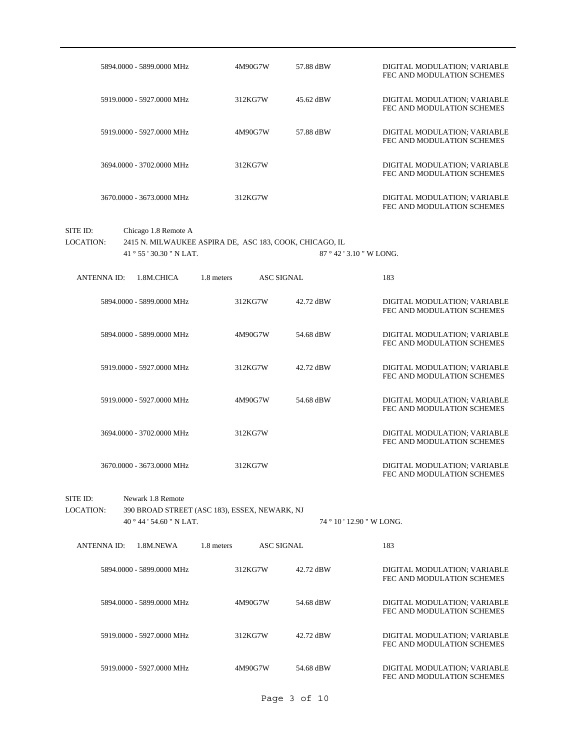|                              | 5894.0000 - 5899.0000 MHz                                | 4M90G7W                                                 | 57.88 dBW | DIGITAL MODULATION; VARIABLE<br>FEC AND MODULATION SCHEMES |
|------------------------------|----------------------------------------------------------|---------------------------------------------------------|-----------|------------------------------------------------------------|
|                              | 5919.0000 - 5927.0000 MHz                                | 312KG7W                                                 | 45.62 dBW | DIGITAL MODULATION; VARIABLE<br>FEC AND MODULATION SCHEMES |
|                              | 5919.0000 - 5927.0000 MHz                                | 4M90G7W                                                 | 57.88 dBW | DIGITAL MODULATION; VARIABLE<br>FEC AND MODULATION SCHEMES |
|                              | 3694.0000 - 3702.0000 MHz                                | 312KG7W                                                 |           | DIGITAL MODULATION; VARIABLE<br>FEC AND MODULATION SCHEMES |
|                              | 3670.0000 - 3673.0000 MHz                                | 312KG7W                                                 |           | DIGITAL MODULATION; VARIABLE<br>FEC AND MODULATION SCHEMES |
| SITE ID:<br><b>LOCATION:</b> | Chicago 1.8 Remote A<br>41 $\degree$ 55 ' 30.30 " N LAT. | 2415 N. MILWAUKEE ASPIRA DE, ASC 183, COOK, CHICAGO, IL |           | 87 ° 42 ' 3.10 " W LONG.                                   |
| <b>ANTENNAID:</b>            | 1.8M.CHICA                                               | <b>ASC SIGNAL</b><br>1.8 meters                         |           | 183                                                        |
|                              | 5894.0000 - 5899.0000 MHz                                | 312KG7W                                                 | 42.72 dBW | DIGITAL MODULATION; VARIABLE<br>FEC AND MODULATION SCHEMES |
|                              | 5894.0000 - 5899.0000 MHz                                | 4M90G7W                                                 | 54.68 dBW | DIGITAL MODULATION; VARIABLE<br>FEC AND MODULATION SCHEMES |
|                              | 5919.0000 - 5927.0000 MHz                                | 312KG7W                                                 | 42.72 dBW | DIGITAL MODULATION; VARIABLE<br>FEC AND MODULATION SCHEMES |
|                              | 5919.0000 - 5927.0000 MHz                                | 4M90G7W                                                 | 54.68 dBW | DIGITAL MODULATION; VARIABLE<br>FEC AND MODULATION SCHEMES |
|                              | 3694.0000 - 3702.0000 MHz                                | 312KG7W                                                 |           | DIGITAL MODULATION; VARIABLE<br>FEC AND MODULATION SCHEMES |
|                              | 3670.0000 - 3673.0000 MHz                                | 312KG7W                                                 |           | DIGITAL MODULATION; VARIABLE<br>FEC AND MODULATION SCHEMES |
| SITE ID:                     | Newark 1.8 Remote                                        |                                                         |           |                                                            |
| <b>LOCATION:</b>             |                                                          | 390 BROAD STREET (ASC 183), ESSEX, NEWARK, NJ           |           |                                                            |
|                              | 40 ° 44 ' 54.60 " N LAT.                                 |                                                         |           | 74 ° 10 ' 12.90 " W LONG.                                  |
| <b>ANTENNA ID:</b>           | 1.8M.NEWA                                                | <b>ASC SIGNAL</b><br>1.8 meters                         |           | 183                                                        |
|                              | 5894,0000 - 5899,0000 MHz                                | 312KG7W                                                 | 42.72 dBW | DIGITAL MODULATION; VARIABLE<br>FEC AND MODULATION SCHEMES |
|                              | 5894.0000 - 5899.0000 MHz                                | 4M90G7W                                                 | 54.68 dBW | DIGITAL MODULATION; VARIABLE<br>FEC AND MODULATION SCHEMES |
|                              | 5919.0000 - 5927.0000 MHz                                | 312KG7W                                                 | 42.72 dBW | DIGITAL MODULATION; VARIABLE<br>FEC AND MODULATION SCHEMES |
|                              | 5919.0000 - 5927.0000 MHz                                | 4M90G7W                                                 | 54.68 dBW | DIGITAL MODULATION; VARIABLE<br>FEC AND MODULATION SCHEMES |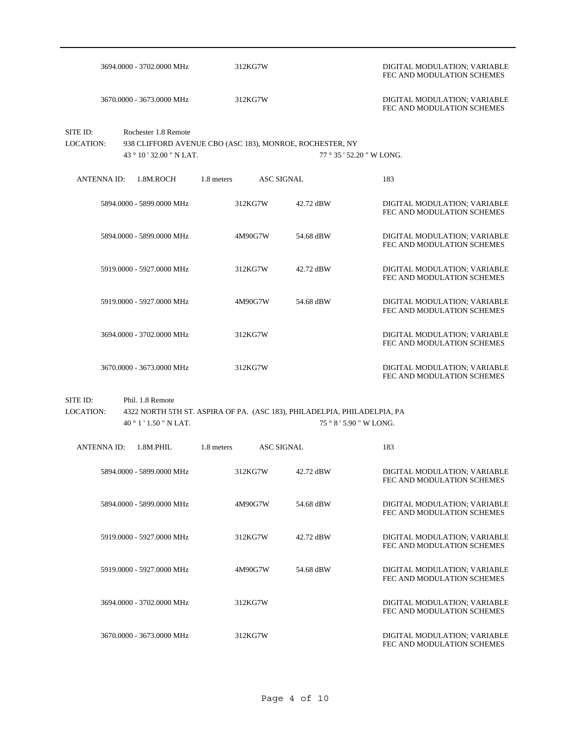|                       |                                                                                                              | 3694.0000 - 3702.0000 MHz                                                                                                      | 312KG7W                   |         | DIGITAL MODULATION; VARIABLE<br>FEC AND MODULATION SCHEMES |                         |                                                            |
|-----------------------|--------------------------------------------------------------------------------------------------------------|--------------------------------------------------------------------------------------------------------------------------------|---------------------------|---------|------------------------------------------------------------|-------------------------|------------------------------------------------------------|
|                       |                                                                                                              | 3670.0000 - 3673.0000 MHz                                                                                                      |                           | 312KG7W |                                                            |                         | DIGITAL MODULATION; VARIABLE<br>FEC AND MODULATION SCHEMES |
| SITE ID:<br>LOCATION: | Rochester 1.8 Remote<br>938 CLIFFORD AVENUE CBO (ASC 183), MONROE, ROCHESTER, NY<br>43 ° 10 ' 32.00 " N LAT. |                                                                                                                                | 77 ° 35 ' 52.20 " W LONG. |         |                                                            |                         |                                                            |
| <b>ANTENNA ID:</b>    |                                                                                                              | 1.8M.ROCH                                                                                                                      | 1.8 meters                |         | <b>ASC SIGNAL</b>                                          |                         | 183                                                        |
|                       |                                                                                                              | 5894.0000 - 5899.0000 MHz                                                                                                      |                           | 312KG7W | 42.72 dBW                                                  |                         | DIGITAL MODULATION; VARIABLE<br>FEC AND MODULATION SCHEMES |
|                       |                                                                                                              | 5894.0000 - 5899.0000 MHz                                                                                                      |                           | 4M90G7W | 54.68 dBW                                                  |                         | DIGITAL MODULATION; VARIABLE<br>FEC AND MODULATION SCHEMES |
|                       | 5919,0000 - 5927,0000 MHz                                                                                    |                                                                                                                                |                           | 312KG7W | 42.72 dBW                                                  |                         | DIGITAL MODULATION; VARIABLE<br>FEC AND MODULATION SCHEMES |
|                       | 5919.0000 - 5927.0000 MHz                                                                                    |                                                                                                                                |                           | 4M90G7W | 54.68 dBW                                                  |                         | DIGITAL MODULATION; VARIABLE<br>FEC AND MODULATION SCHEMES |
|                       |                                                                                                              | 3694.0000 - 3702.0000 MHz                                                                                                      |                           | 312KG7W |                                                            |                         | DIGITAL MODULATION; VARIABLE<br>FEC AND MODULATION SCHEMES |
|                       | 3670.0000 - 3673.0000 MHz                                                                                    |                                                                                                                                |                           | 312KG7W |                                                            |                         | DIGITAL MODULATION; VARIABLE<br>FEC AND MODULATION SCHEMES |
| SITE ID:<br>LOCATION: |                                                                                                              | Phil. 1.8 Remote<br>4322 NORTH 5TH ST. ASPIRA OF PA. (ASC 183), PHILADELPIA, PHILADELPIA, PA<br>$40^{\circ}$ 1 ' 1.50 " N LAT. |                           |         |                                                            | 75 ° 8 ' 5.90 " W LONG. |                                                            |
| <b>ANTENNAID:</b>     |                                                                                                              | 1.8M.PHIL                                                                                                                      | 1.8 meters                |         | <b>ASC SIGNAL</b>                                          |                         | 183                                                        |
|                       | 5894.0000 - 5899.0000 MHz                                                                                    |                                                                                                                                |                           | 312KG7W | 42.72 dBW                                                  |                         | DIGITAL MODULATION; VARIABLE<br>FEC AND MODULATION SCHEMES |
|                       |                                                                                                              | 5894.0000 - 5899.0000 MHz                                                                                                      |                           | 4M90G7W | 54.68 dBW                                                  |                         | DIGITAL MODULATION; VARIABLE<br>FEC AND MODULATION SCHEMES |
|                       |                                                                                                              | 5919,0000 - 5927,0000 MHz                                                                                                      |                           | 312KG7W | 42.72 dBW                                                  |                         | DIGITAL MODULATION; VARIABLE<br>FEC AND MODULATION SCHEMES |
|                       |                                                                                                              | 5919,0000 - 5927,0000 MHz                                                                                                      |                           | 4M90G7W | 54.68 dBW                                                  |                         | DIGITAL MODULATION; VARIABLE<br>FEC AND MODULATION SCHEMES |
|                       |                                                                                                              | 3694.0000 - 3702.0000 MHz                                                                                                      |                           | 312KG7W |                                                            |                         | DIGITAL MODULATION; VARIABLE<br>FEC AND MODULATION SCHEMES |
|                       |                                                                                                              | 3670.0000 - 3673.0000 MHz                                                                                                      |                           | 312KG7W |                                                            |                         | DIGITAL MODULATION; VARIABLE<br>FEC AND MODULATION SCHEMES |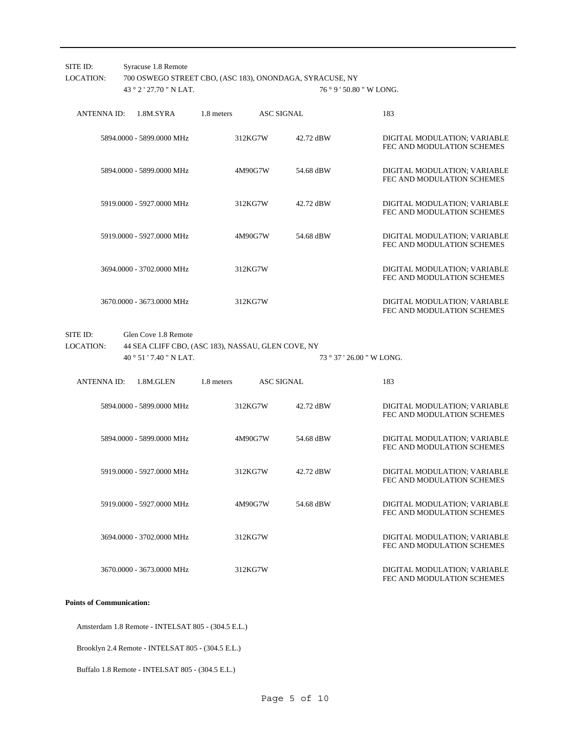| SITE ID:<br><b>LOCATION:</b> | Syracuse 1.8 Remote<br>43 ° 2 ' 27.70 " N LAT.       | 700 OSWEGO STREET CBO, (ASC 183), ONONDAGA, SYRACUSE, NY<br>76 ° 9 ' 50.80 " W LONG. |                   |                                                            |  |  |  |  |  |
|------------------------------|------------------------------------------------------|--------------------------------------------------------------------------------------|-------------------|------------------------------------------------------------|--|--|--|--|--|
| <b>ANTENNA ID:</b>           | 1.8M.SYRA                                            | 1.8 meters                                                                           | <b>ASC SIGNAL</b> | 183                                                        |  |  |  |  |  |
|                              | 5894.0000 - 5899.0000 MHz                            | 312KG7W                                                                              | 42.72 dBW         | DIGITAL MODULATION; VARIABLE<br>FEC AND MODULATION SCHEMES |  |  |  |  |  |
|                              | 5894.0000 - 5899.0000 MHz                            | 4M90G7W                                                                              | 54.68 dBW         | DIGITAL MODULATION; VARIABLE<br>FEC AND MODULATION SCHEMES |  |  |  |  |  |
|                              | 5919.0000 - 5927.0000 MHz                            | 312KG7W                                                                              | 42.72 dBW         | DIGITAL MODULATION; VARIABLE<br>FEC AND MODULATION SCHEMES |  |  |  |  |  |
|                              | 5919.0000 - 5927.0000 MHz                            | 4M90G7W                                                                              | 54.68 dBW         | DIGITAL MODULATION; VARIABLE<br>FEC AND MODULATION SCHEMES |  |  |  |  |  |
|                              | 3694.0000 - 3702.0000 MHz                            | 312KG7W                                                                              |                   | DIGITAL MODULATION; VARIABLE<br>FEC AND MODULATION SCHEMES |  |  |  |  |  |
|                              | 3670.0000 - 3673.0000 MHz                            | 312KG7W                                                                              |                   | DIGITAL MODULATION; VARIABLE<br>FEC AND MODULATION SCHEMES |  |  |  |  |  |
| SITE ID:<br><b>LOCATION:</b> | Glen Cove 1.8 Remote<br>$40^{\circ}51'7.40''$ N LAT. | 44 SEA CLIFF CBO, (ASC 183), NASSAU, GLEN COVE, NY                                   |                   | 73 ° 37 ' 26.00 " W LONG.                                  |  |  |  |  |  |
| ANTENNA ID:                  | 1.8M.GLEN                                            | 1.8 meters                                                                           | <b>ASC SIGNAL</b> | 183                                                        |  |  |  |  |  |
|                              | 5894.0000 - 5899.0000 MHz                            | 312KG7W                                                                              | 42.72 dBW         | DIGITAL MODULATION; VARIABLE<br>FEC AND MODULATION SCHEMES |  |  |  |  |  |
|                              | 5894.0000 - 5899.0000 MHz                            | 4M90G7W                                                                              | 54.68 dBW         | DIGITAL MODULATION; VARIABLE<br>FEC AND MODULATION SCHEMES |  |  |  |  |  |
|                              | 5919.0000 - 5927.0000 MHz                            | 312KG7W                                                                              | 42.72 dBW         | DIGITAL MODULATION; VARIABLE<br>FEC AND MODULATION SCHEMES |  |  |  |  |  |
|                              | 5919.0000 - 5927.0000 MHz                            | 4M90G7W                                                                              | 54.68 dBW         | DIGITAL MODULATION; VARIABLE<br>FEC AND MODULATION SCHEMES |  |  |  |  |  |
|                              | 3694.0000 - 3702.0000 MHz                            | 312KG7W                                                                              |                   | DIGITAL MODULATION; VARIABLE<br>FEC AND MODULATION SCHEMES |  |  |  |  |  |
|                              | 3670.0000 - 3673.0000 MHz                            | 312KG7W                                                                              |                   | DIGITAL MODULATION; VARIABLE<br>FEC AND MODULATION SCHEMES |  |  |  |  |  |

#### **Points of Communication:**

Amsterdam 1.8 Remote - INTELSAT 805 - (304.5 E.L.)

Brooklyn 2.4 Remote - INTELSAT 805 - (304.5 E.L.)

Buffalo 1.8 Remote - INTELSAT 805 - (304.5 E.L.)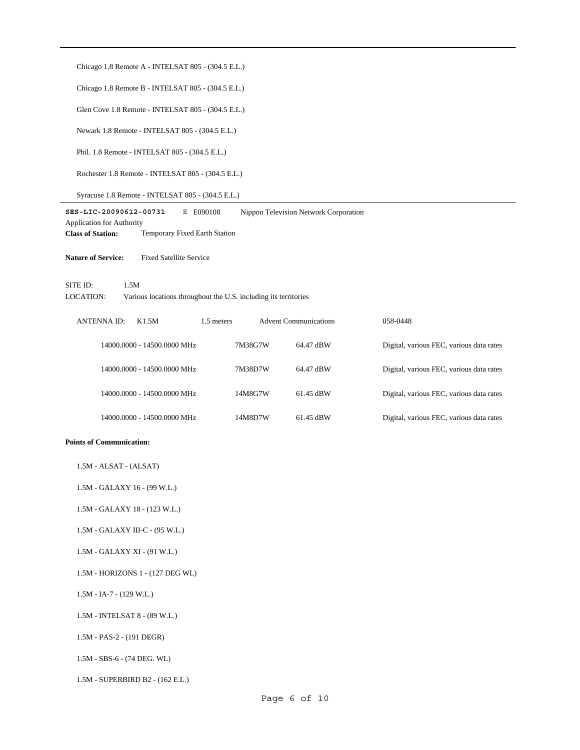| Chicago 1.8 Remote A - INTELSAT 805 - (304.5 E.L.)                                               |                                                                                     |                              |                                          |  |  |  |  |  |  |
|--------------------------------------------------------------------------------------------------|-------------------------------------------------------------------------------------|------------------------------|------------------------------------------|--|--|--|--|--|--|
| Chicago 1.8 Remote B - INTELSAT 805 - (304.5 E.L.)                                               |                                                                                     |                              |                                          |  |  |  |  |  |  |
| Glen Cove 1.8 Remote - INTELSAT 805 - (304.5 E.L.)                                               |                                                                                     |                              |                                          |  |  |  |  |  |  |
| Newark 1.8 Remote - INTELSAT 805 - (304.5 E.L.)                                                  |                                                                                     |                              |                                          |  |  |  |  |  |  |
| Phil. 1.8 Remote - INTELSAT 805 - (304.5 E.L.)                                                   |                                                                                     |                              |                                          |  |  |  |  |  |  |
| Rochester 1.8 Remote - INTELSAT 805 - (304.5 E.L.)                                               |                                                                                     |                              |                                          |  |  |  |  |  |  |
| Syracuse 1.8 Remote - INTELSAT 805 - (304.5 E.L.)                                                |                                                                                     |                              |                                          |  |  |  |  |  |  |
| SES-LIC-20090612-00731<br>Application for Authority<br><b>Class of Station:</b>                  | E E090108<br>Nippon Television Network Corporation<br>Temporary Fixed Earth Station |                              |                                          |  |  |  |  |  |  |
| <b>Nature of Service:</b><br><b>Fixed Satellite Service</b>                                      |                                                                                     |                              |                                          |  |  |  |  |  |  |
| 1.5M<br>SITE ID:<br>LOCATION:<br>Various locations throughout the U.S. including its territories |                                                                                     |                              |                                          |  |  |  |  |  |  |
| <b>ANTENNA ID:</b><br>K1.5M                                                                      | 1.5 meters                                                                          | <b>Advent Communications</b> | 058-0448                                 |  |  |  |  |  |  |
| 14000.0000 - 14500.0000 MHz                                                                      | 7M38G7W                                                                             | 64.47 dBW                    | Digital, various FEC, various data rates |  |  |  |  |  |  |
| 14000.0000 - 14500.0000 MHz                                                                      | 7M38D7W                                                                             | 64.47 dBW                    | Digital, various FEC, various data rates |  |  |  |  |  |  |
| 14000.0000 - 14500.0000 MHz                                                                      | 14M8G7W                                                                             | 61.45 dBW                    | Digital, various FEC, various data rates |  |  |  |  |  |  |
| 14000.0000 - 14500.0000 MHz                                                                      | 14M8D7W                                                                             | 61.45 dBW                    | Digital, various FEC, various data rates |  |  |  |  |  |  |
| <b>Points of Communication:</b>                                                                  |                                                                                     |                              |                                          |  |  |  |  |  |  |
| 1.5M - ALSAT - (ALSAT)                                                                           |                                                                                     |                              |                                          |  |  |  |  |  |  |
| 1.5M - GALAXY 16 - (99 W.L.)                                                                     |                                                                                     |                              |                                          |  |  |  |  |  |  |
| 1.5M - GALAXY 18 - (123 W.L.)                                                                    |                                                                                     |                              |                                          |  |  |  |  |  |  |
| 1.5M - GALAXY III-C - (95 W.L.)                                                                  |                                                                                     |                              |                                          |  |  |  |  |  |  |
| 1.5M - GALAXY XI - (91 W.L.)                                                                     |                                                                                     |                              |                                          |  |  |  |  |  |  |
| 1.5M - HORIZONS 1 - (127 DEG WL)                                                                 |                                                                                     |                              |                                          |  |  |  |  |  |  |
| $1.5M - IA-7 - (129 W.L.)$                                                                       |                                                                                     |                              |                                          |  |  |  |  |  |  |
| 1.5M - INTELSAT 8 - (89 W.L.)                                                                    |                                                                                     |                              |                                          |  |  |  |  |  |  |
| $1.5M - PAS-2 - (191 DEGR)$                                                                      |                                                                                     |                              |                                          |  |  |  |  |  |  |
| $1.5M - SBS-6 - (74 DEG. WL)$                                                                    |                                                                                     |                              |                                          |  |  |  |  |  |  |
| 1.5M - SUPERBIRD B2 - (162 E.L.)                                                                 |                                                                                     |                              |                                          |  |  |  |  |  |  |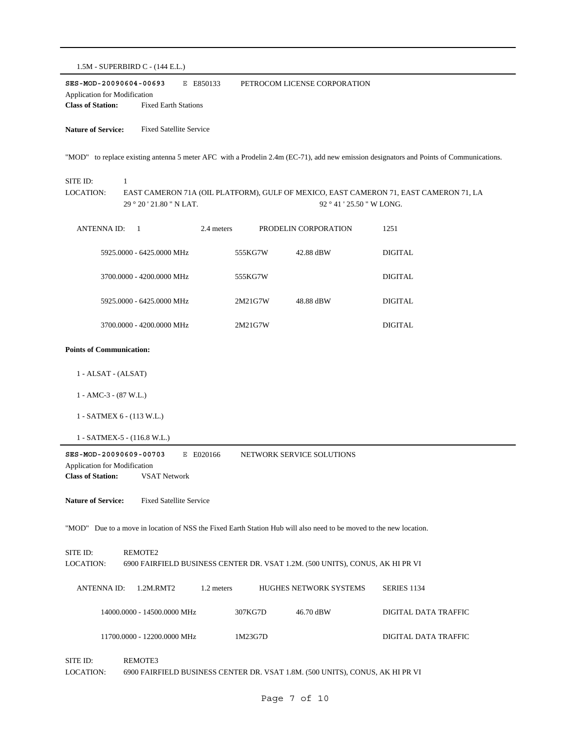1.5M - SUPERBIRD C - (144 E.L.) **SES-MOD-20090604-00693** E E850133 **Class of Station:** Fixed Earth Stations Application for Modification PETROCOM LICENSE CORPORATION **Nature of Service:** Fixed Satellite Service "MOD" to replace existing antenna 5 meter AFC with a Prodelin 2.4m (EC-71), add new emission designators and Points of Communications. 29 ° 20 ' 21.80 " N LAT. SITE ID: 1 EAST CAMERON 71A (OIL PLATFORM), GULF OF MEXICO, EAST CAMERON 71, EAST CAMERON 71, LA 92 ° 41 ' 25.50 " W LONG. LOCATION:

ANTENNA ID: 1 2.4 meters PRODELIN CORPORATION 1251 5925.0000 - 6425.0000 MHz 555KG7W 42.88 dBW DIGITAL 3700.0000 - 4200.0000 MHz 555KG7W DIGITAL 5925.0000 - 6425.0000 MHz 2M21G7W 48.88 dBW DIGITAL 3700.0000 - 4200.0000 MHz 2M21G7W DIGITAL

#### **Points of Communication:**

- 1 ALSAT (ALSAT)
- 1 AMC-3 (87 W.L.)
- 1 SATMEX 6 (113 W.L.)
- 1 SATMEX-5 (116.8 W.L.)

**SES-MOD-20090609-00703** E E020166 **Class of Station:** VSAT Network Application for Modification NETWORK SERVICE SOLUTIONS

**Nature of Service:** Fixed Satellite Service

"MOD" Due to a move in location of NSS the Fixed Earth Station Hub will also need to be moved to the new location.

SITE ID: REMOTE2 LOCATION: 6900 FAIRFIELD BUSINESS CENTER DR. VSAT 1.2M. (500 UNITS), CONUS, AK HI PR VI ANTENNA ID: 1.2M.RMT2 1.2 meters HUGHES NETWORK SYSTEMS SERIES 1134 14000.0000 - 14500.0000 MHz 307KG7D 46.70 dBW DIGITAL DATA TRAFFIC 11700.0000 - 12200.0000 MHz 1M23G7D DIGITAL DATA TRAFFIC SITE ID: REMOTE3

LOCATION: 6900 FAIRFIELD BUSINESS CENTER DR. VSAT 1.8M. (500 UNITS), CONUS, AK HI PR VI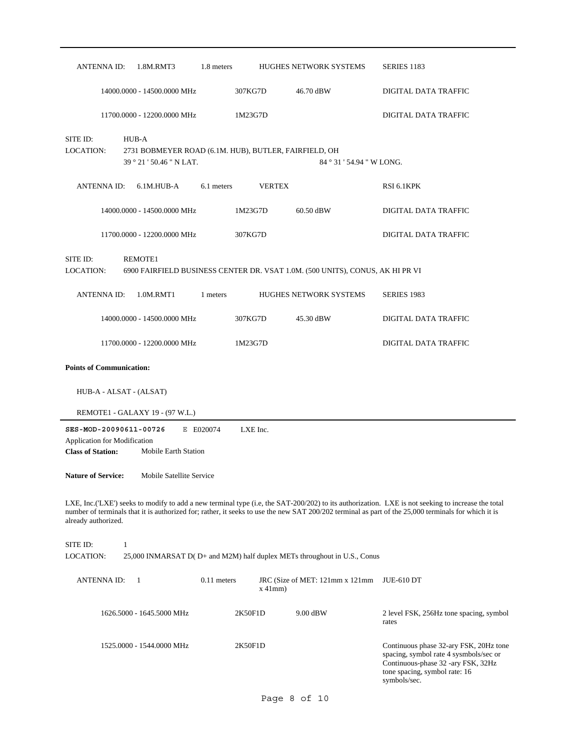| ANTENNA ID:                                                                        | 1.8M.RMT3                                                                                  | 1.8 meters    |               | <b>HUGHES NETWORK SYSTEMS</b>                                                 | SERIES 1183                                                                                                                                                                                                                                                                                              |
|------------------------------------------------------------------------------------|--------------------------------------------------------------------------------------------|---------------|---------------|-------------------------------------------------------------------------------|----------------------------------------------------------------------------------------------------------------------------------------------------------------------------------------------------------------------------------------------------------------------------------------------------------|
|                                                                                    | 14000.0000 - 14500.0000 MHz                                                                |               | 307KG7D       | 46.70 dBW                                                                     | DIGITAL DATA TRAFFIC                                                                                                                                                                                                                                                                                     |
|                                                                                    | 11700.0000 - 12200.0000 MHz                                                                |               | 1M23G7D       |                                                                               | DIGITAL DATA TRAFFIC                                                                                                                                                                                                                                                                                     |
| SITE ID:<br>LOCATION:                                                              | HUB-A<br>2731 BOBMEYER ROAD (6.1M. HUB), BUTLER, FAIRFIELD, OH<br>39 ° 21 ' 50.46 " N LAT. |               |               | 84 ° 31 ' 54.94 " W LONG.                                                     |                                                                                                                                                                                                                                                                                                          |
| ANTENNA ID:                                                                        | 6.1M.HUB-A                                                                                 | 6.1 meters    | <b>VERTEX</b> |                                                                               | RSI 6.1KPK                                                                                                                                                                                                                                                                                               |
|                                                                                    | 14000.0000 - 14500.0000 MHz                                                                |               | 1M23G7D       | 60.50 dBW                                                                     | DIGITAL DATA TRAFFIC                                                                                                                                                                                                                                                                                     |
|                                                                                    | 11700.0000 - 12200.0000 MHz                                                                |               | 307KG7D       |                                                                               | DIGITAL DATA TRAFFIC                                                                                                                                                                                                                                                                                     |
| SITE ID:<br>LOCATION:                                                              | REMOTE1                                                                                    |               |               | 6900 FAIRFIELD BUSINESS CENTER DR. VSAT 1.0M. (500 UNITS), CONUS, AK HI PR VI |                                                                                                                                                                                                                                                                                                          |
| <b>ANTENNA ID:</b>                                                                 | 1.0M.RMT1                                                                                  | 1 meters      |               | <b>HUGHES NETWORK SYSTEMS</b>                                                 | <b>SERIES 1983</b>                                                                                                                                                                                                                                                                                       |
|                                                                                    | 14000.0000 - 14500.0000 MHz                                                                |               | 307KG7D       | 45.30 dBW                                                                     | DIGITAL DATA TRAFFIC                                                                                                                                                                                                                                                                                     |
|                                                                                    | 11700.0000 - 12200.0000 MHz                                                                |               | 1M23G7D       |                                                                               | DIGITAL DATA TRAFFIC                                                                                                                                                                                                                                                                                     |
| <b>Points of Communication:</b>                                                    |                                                                                            |               |               |                                                                               |                                                                                                                                                                                                                                                                                                          |
| HUB-A - ALSAT - (ALSAT)                                                            |                                                                                            |               |               |                                                                               |                                                                                                                                                                                                                                                                                                          |
|                                                                                    | REMOTE1 - GALAXY 19 - (97 W.L.)                                                            |               |               |                                                                               |                                                                                                                                                                                                                                                                                                          |
| SES-MOD-20090611-00726<br>Application for Modification<br><b>Class of Station:</b> | Mobile Earth Station                                                                       | E E020074     | LXE Inc.      |                                                                               |                                                                                                                                                                                                                                                                                                          |
| <b>Nature of Service:</b>                                                          | Mobile Satellite Service                                                                   |               |               |                                                                               |                                                                                                                                                                                                                                                                                                          |
| already authorized.                                                                |                                                                                            |               |               |                                                                               | LXE, Inc.('LXE') seeks to modify to add a new terminal type (i.e, the SAT-200/202) to its authorization. LXE is not seeking to increase the total<br>number of terminals that it is authorized for; rather, it seeks to use the new SAT 200/202 terminal as part of the 25,000 terminals for which it is |
| SITE ID:<br>$\mathbf{1}$<br>LOCATION:                                              |                                                                                            |               |               | 25,000 INMARSAT D(D+ and M2M) half duplex METs throughout in U.S., Conus      |                                                                                                                                                                                                                                                                                                          |
| <b>ANTENNAID:</b>                                                                  | $\overline{1}$                                                                             | $0.11$ meters | $x$ 41mm)     | JRC (Size of MET: 121mm x 121mm)                                              | <b>JUE-610 DT</b>                                                                                                                                                                                                                                                                                        |
|                                                                                    | 1626.5000 - 1645.5000 MHz                                                                  |               | 2K50F1D       | 9.00 dBW                                                                      | 2 level FSK, 256Hz tone spacing, symbol<br>rates                                                                                                                                                                                                                                                         |
|                                                                                    | 1525.0000 - 1544.0000 MHz                                                                  |               | 2K50F1D       |                                                                               | Continuous phase 32-ary FSK, 20Hz tone<br>spacing, symbol rate 4 sysmbols/sec or<br>Continuous-phase 32 -ary FSK, 32Hz<br>tone spacing, symbol rate: 16                                                                                                                                                  |

symbols/sec.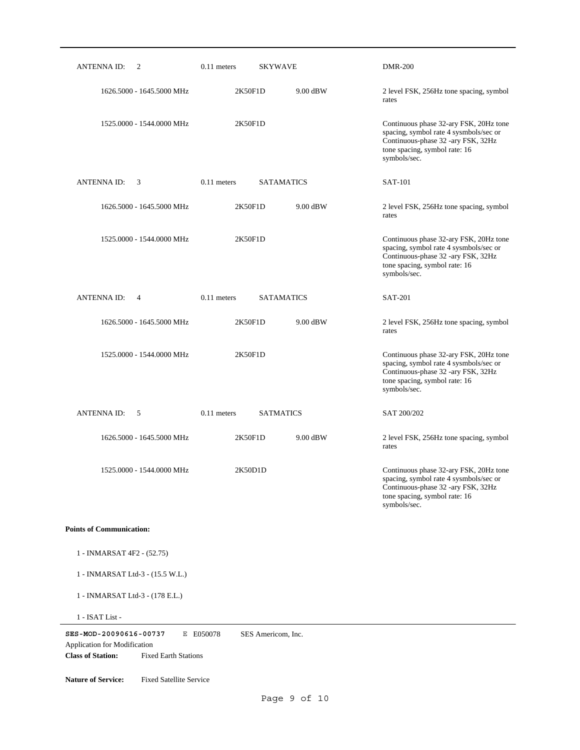| <b>ANTENNAID:</b><br>2                                                                                                   | $0.11$ meters                   | <b>SKYWAVE</b>    | <b>DMR-200</b>                                                                                                                                                          |
|--------------------------------------------------------------------------------------------------------------------------|---------------------------------|-------------------|-------------------------------------------------------------------------------------------------------------------------------------------------------------------------|
| 1626.5000 - 1645.5000 MHz                                                                                                | 2K50F1D                         | 9.00 dBW          | 2 level FSK, 256Hz tone spacing, symbol<br>rates                                                                                                                        |
| 1525.0000 - 1544.0000 MHz                                                                                                | 2K50F1D                         |                   | Continuous phase 32-ary FSK, 20Hz tone<br>spacing, symbol rate 4 sysmbols/sec or<br>Continuous-phase 32 -ary FSK, 32Hz<br>tone spacing, symbol rate: 16<br>symbols/sec. |
| <b>ANTENNA ID:</b><br>3                                                                                                  | $0.11$ meters                   | <b>SATAMATICS</b> | <b>SAT-101</b>                                                                                                                                                          |
| 1626.5000 - 1645.5000 MHz                                                                                                | 2K50F1D                         | 9.00 dBW          | 2 level FSK, 256Hz tone spacing, symbol<br>rates                                                                                                                        |
| 1525.0000 - 1544.0000 MHz                                                                                                | 2K50F1D                         |                   | Continuous phase 32-ary FSK, 20Hz tone<br>spacing, symbol rate 4 sysmbols/sec or<br>Continuous-phase 32 -ary FSK, 32Hz<br>tone spacing, symbol rate: 16<br>symbols/sec. |
| <b>ANTENNA ID:</b><br>$\overline{4}$                                                                                     | $0.11$ meters                   | <b>SATAMATICS</b> | <b>SAT-201</b>                                                                                                                                                          |
| 1626.5000 - 1645.5000 MHz                                                                                                | 2K50F1D                         | 9.00 dBW          | 2 level FSK, 256Hz tone spacing, symbol<br>rates                                                                                                                        |
| 1525.0000 - 1544.0000 MHz                                                                                                | 2K50F1D                         |                   | Continuous phase 32-ary FSK, 20Hz tone<br>spacing, symbol rate 4 sysmbols/sec or<br>Continuous-phase 32 -ary FSK, 32Hz<br>tone spacing, symbol rate: 16<br>symbols/sec. |
| <b>ANTENNA ID:</b><br>5                                                                                                  | $0.11$ meters                   | <b>SATMATICS</b>  | SAT 200/202                                                                                                                                                             |
| 1626.5000 - 1645.5000 MHz                                                                                                | 2K50F1D                         | 9.00 dBW          | 2 level FSK, 256Hz tone spacing, symbol<br>rates                                                                                                                        |
| 1525.0000 - 1544.0000 MHz                                                                                                | 2K50D1D                         |                   | Continuous phase 32-ary FSK, 20Hz tone<br>spacing, symbol rate 4 sysmbols/sec or<br>Continuous-phase 32 -ary FSK, 32Hz<br>tone spacing, symbol rate: 16<br>symbols/sec. |
| <b>Points of Communication:</b>                                                                                          |                                 |                   |                                                                                                                                                                         |
| 1 - INMARSAT 4F2 - (52.75)                                                                                               |                                 |                   |                                                                                                                                                                         |
| 1 - INMARSAT Ltd-3 - (15.5 W.L.)                                                                                         |                                 |                   |                                                                                                                                                                         |
| 1 - INMARSAT Ltd-3 - (178 E.L.)                                                                                          |                                 |                   |                                                                                                                                                                         |
| 1 - ISAT List -                                                                                                          |                                 |                   |                                                                                                                                                                         |
| SES-MOD-20090616-00737<br><b>Application for Modification</b><br><b>Class of Station:</b><br><b>Fixed Earth Stations</b> | E E050078<br>SES Americom, Inc. |                   |                                                                                                                                                                         |

**Nature of Service:** Fixed Satellite Service

 $\overline{\phantom{0}}$